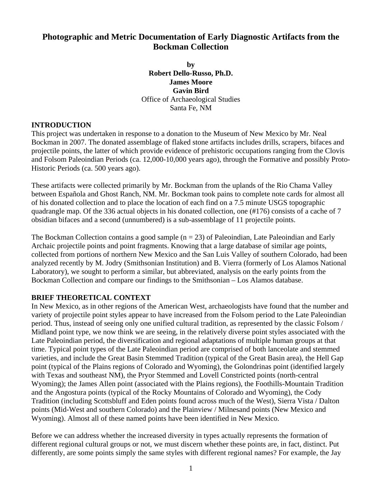# **Photographic and Metric Documentation of Early Diagnostic Artifacts from the Bockman Collection**

**by Robert Dello-Russo, Ph.D. James Moore Gavin Bird**  Office of Archaeological Studies Santa Fe, NM

## **INTRODUCTION**

This project was undertaken in response to a donation to the Museum of New Mexico by Mr. Neal Bockman in 2007. The donated assemblage of flaked stone artifacts includes drills, scrapers, bifaces and projectile points, the latter of which provide evidence of prehistoric occupations ranging from the Clovis and Folsom Paleoindian Periods (ca. 12,000-10,000 years ago), through the Formative and possibly Proto-Historic Periods (ca. 500 years ago).

These artifacts were collected primarily by Mr. Bockman from the uplands of the Rio Chama Valley between Española and Ghost Ranch, NM. Mr. Bockman took pains to complete note cards for almost all of his donated collection and to place the location of each find on a 7.5 minute USGS topographic quadrangle map. Of the 336 actual objects in his donated collection, one (#176) consists of a cache of 7 obsidian bifaces and a second (unnumbered) is a sub-assemblage of 11 projectile points.

The Bockman Collection contains a good sample  $(n = 23)$  of Paleoindian, Late Paleoindian and Early Archaic projectile points and point fragments. Knowing that a large database of similar age points, collected from portions of northern New Mexico and the San Luis Valley of southern Colorado, had been analyzed recently by M. Jodry (Smithsonian Institution) and B. Vierra (formerly of Los Alamos National Laboratory), we sought to perform a similar, but abbreviated, analysis on the early points from the Bockman Collection and compare our findings to the Smithsonian – Los Alamos database.

# **BRIEF THEORETICAL CONTEXT**

In New Mexico, as in other regions of the American West, archaeologists have found that the number and variety of projectile point styles appear to have increased from the Folsom period to the Late Paleoindian period. Thus, instead of seeing only one unified cultural tradition, as represented by the classic Folsom / Midland point type, we now think we are seeing, in the relatively diverse point styles associated with the Late Paleoindian period, the diversification and regional adaptations of multiple human groups at that time. Typical point types of the Late Paleoindian period are comprised of both lanceolate and stemmed varieties, and include the Great Basin Stemmed Tradition (typical of the Great Basin area), the Hell Gap point (typical of the Plains regions of Colorado and Wyoming), the Golondrinas point (identified largely with Texas and southeast NM), the Pryor Stemmed and Lovell Constricted points (north-central Wyoming); the James Allen point (associated with the Plains regions), the Foothills-Mountain Tradition and the Angostura points (typical of the Rocky Mountains of Colorado and Wyoming), the Cody Tradition (including Scottsbluff and Eden points found across much of the West), Sierra Vista / Dalton points (Mid-West and southern Colorado) and the Plainview / Milnesand points (New Mexico and Wyoming). Almost all of these named points have been identified in New Mexico.

Before we can address whether the increased diversity in types actually represents the formation of different regional cultural groups or not, we must discern whether these points are, in fact, distinct. Put differently, are some points simply the same styles with different regional names? For example, the Jay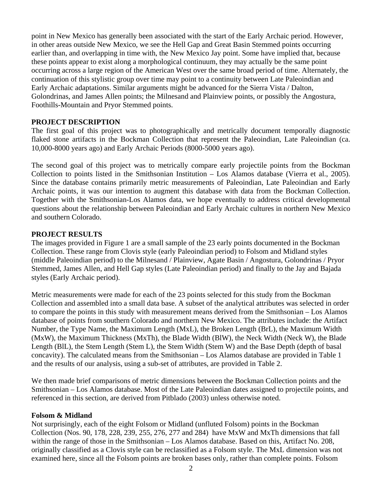point in New Mexico has generally been associated with the start of the Early Archaic period. However, in other areas outside New Mexico, we see the Hell Gap and Great Basin Stemmed points occurring earlier than, and overlapping in time with, the New Mexico Jay point. Some have implied that, because these points appear to exist along a morphological continuum, they may actually be the same point occurring across a large region of the American West over the same broad period of time. Alternately, the continuation of this stylistic group over time may point to a continuity between Late Paleoindian and Early Archaic adaptations. Similar arguments might be advanced for the Sierra Vista / Dalton, Golondrinas, and James Allen points; the Milnesand and Plainview points, or possibly the Angostura, Foothills-Mountain and Pryor Stemmed points.

## **PROJECT DESCRIPTION**

The first goal of this project was to photographically and metrically document temporally diagnostic flaked stone artifacts in the Bockman Collection that represent the Paleoindian, Late Paleoindian (ca. 10,000-8000 years ago) and Early Archaic Periods (8000-5000 years ago).

The second goal of this project was to metrically compare early projectile points from the Bockman Collection to points listed in the Smithsonian Institution – Los Alamos database (Vierra et al., 2005). Since the database contains primarily metric measurements of Paleoindian, Late Paleoindian and Early Archaic points, it was our intention to augment this database with data from the Bockman Collection. Together with the Smithsonian-Los Alamos data, we hope eventually to address critical developmental questions about the relationship between Paleoindian and Early Archaic cultures in northern New Mexico and southern Colorado.

# **PROJECT RESULTS**

The images provided in Figure 1 are a small sample of the 23 early points documented in the Bockman Collection. These range from Clovis style (early Paleoindian period) to Folsom and Midland styles (middle Paleoindian period) to the Milnesand / Plainview, Agate Basin / Angostura, Golondrinas / Pryor Stemmed, James Allen, and Hell Gap styles (Late Paleoindian period) and finally to the Jay and Bajada styles (Early Archaic period).

Metric measurements were made for each of the 23 points selected for this study from the Bockman Collection and assembled into a small data base. A subset of the analytical attributes was selected in order to compare the points in this study with measurement means derived from the Smithsonian – Los Alamos database of points from southern Colorado and northern New Mexico. The attributes include: the Artifact Number, the Type Name, the Maximum Length (MxL), the Broken Length (BrL), the Maximum Width (MxW), the Maximum Thickness (MxTh), the Blade Width (BlW), the Neck Width (Neck W), the Blade Length (BlL), the Stem Length (Stem L), the Stem Width (Stem W) and the Base Depth (depth of basal concavity). The calculated means from the Smithsonian – Los Alamos database are provided in Table 1 and the results of our analysis, using a sub-set of attributes, are provided in Table 2.

We then made brief comparisons of metric dimensions between the Bockman Collection points and the Smithsonian – Los Alamos database. Most of the Late Paleoindian dates assigned to projectile points, and referenced in this section, are derived from Pitblado (2003) unless otherwise noted.

#### **Folsom & Midland**

Not surprisingly, each of the eight Folsom or Midland (unfluted Folsom) points in the Bockman Collection (Nos. 90, 178, 228, 239, 255, 276, 277 and 284) have MxW and MxTh dimensions that fall within the range of those in the Smithsonian – Los Alamos database. Based on this, Artifact No. 208, originally classified as a Clovis style can be reclassified as a Folsom style. The MxL dimension was not examined here, since all the Folsom points are broken bases only, rather than complete points. Folsom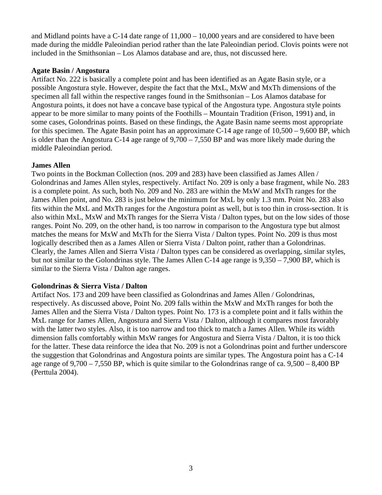and Midland points have a C-14 date range of 11,000 – 10,000 years and are considered to have been made during the middle Paleoindian period rather than the late Paleoindian period. Clovis points were not included in the Smithsonian – Los Alamos database and are, thus, not discussed here.

## **Agate Basin / Angostura**

Artifact No. 222 is basically a complete point and has been identified as an Agate Basin style, or a possible Angostura style. However, despite the fact that the MxL, MxW and MxTh dimensions of the specimen all fall within the respective ranges found in the Smithsonian – Los Alamos database for Angostura points, it does not have a concave base typical of the Angostura type. Angostura style points appear to be more similar to many points of the Foothills – Mountain Tradition (Frison, 1991) and, in some cases, Golondrinas points. Based on these findings, the Agate Basin name seems most appropriate for this specimen. The Agate Basin point has an approximate C-14 age range of 10,500 – 9,600 BP, which is older than the Angostura C-14 age range of 9,700 – 7,550 BP and was more likely made during the middle Paleoindian period.

## **James Allen**

Two points in the Bockman Collection (nos. 209 and 283) have been classified as James Allen / Golondrinas and James Allen styles, respectively. Artifact No. 209 is only a base fragment, while No. 283 is a complete point. As such, both No. 209 and No. 283 are within the MxW and MxTh ranges for the James Allen point, and No. 283 is just below the minimum for MxL by only 1.3 mm. Point No. 283 also fits within the MxL and MxTh ranges for the Angostura point as well, but is too thin in cross-section. It is also within MxL, MxW and MxTh ranges for the Sierra Vista / Dalton types, but on the low sides of those ranges. Point No. 209, on the other hand, is too narrow in comparison to the Angostura type but almost matches the means for MxW and MxTh for the Sierra Vista / Dalton types. Point No. 209 is thus most logically described then as a James Allen or Sierra Vista / Dalton point, rather than a Golondrinas. Clearly, the James Allen and Sierra Vista / Dalton types can be considered as overlapping, similar styles, but not similar to the Golondrinas style. The James Allen C-14 age range is 9,350 – 7,900 BP, which is similar to the Sierra Vista / Dalton age ranges.

# **Golondrinas & Sierra Vista / Dalton**

Artifact Nos. 173 and 209 have been classified as Golondrinas and James Allen / Golondrinas, respectively. As discussed above, Point No. 209 falls within the MxW and MxTh ranges for both the James Allen and the Sierra Vista / Dalton types. Point No. 173 is a complete point and it falls within the MxL range for James Allen, Angostura and Sierra Vista / Dalton, although it compares most favorably with the latter two styles. Also, it is too narrow and too thick to match a James Allen. While its width dimension falls comfortably within MxW ranges for Angostura and Sierra Vista / Dalton, it is too thick for the latter. These data reinforce the idea that No. 209 is not a Golondrinas point and further underscore the suggestion that Golondrinas and Angostura points are similar types. The Angostura point has a C-14 age range of 9,700 – 7,550 BP, which is quite similar to the Golondrinas range of ca. 9,500 – 8,400 BP (Perttula 2004).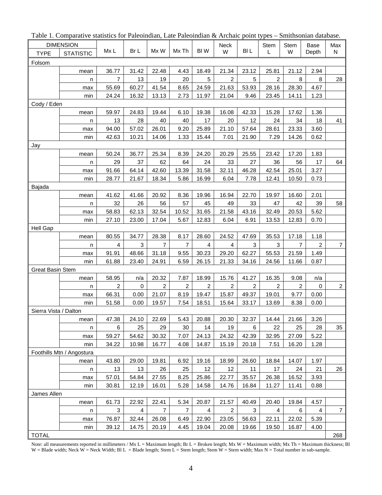|                         | raoic 1. Comparative statistics for Falcomulati, Late Falcomulati & Alchaic point types |                |       |                |                |                |                |                |                | $\sim$ DIMURSOFFICITY GARDENSU. |                |                |
|-------------------------|-----------------------------------------------------------------------------------------|----------------|-------|----------------|----------------|----------------|----------------|----------------|----------------|---------------------------------|----------------|----------------|
|                         | <b>DIMENSION</b>                                                                        |                |       |                |                |                | Neck           |                | Stem           | <b>Stem</b>                     | Base           | Max            |
| <b>TYPE</b>             | <b>STATISTIC</b>                                                                        | Mx L           | Br L  | Mx W           | Mx Th          | BI W           | W              | <b>BIL</b>     | L              | W                               | Depth          | N              |
| Folsom                  |                                                                                         |                |       |                |                |                |                |                |                |                                 |                |                |
|                         | mean                                                                                    | 36.77          | 31.42 | 22.48          | 4.43           | 18.49          | 21.34          | 23.12          | 25.81          | 21.12                           | 2.94           |                |
|                         | n                                                                                       | 7              | 13    | 19             | 20             | 5              | 2              | 5              | 2              | 8                               | 8              | 28             |
|                         | max                                                                                     | 55.69          | 60.27 | 41.54          | 8.65           | 24.59          | 21.63          | 53.93          | 28.16          | 28.30                           | 4.67           |                |
|                         | min                                                                                     | 24.24          | 16.32 | 13.13          | 2.73           | 11.97          | 21.04          | 9.46           | 23.45          | 14.11                           | 1.23           |                |
| Cody / Eden             |                                                                                         |                |       |                |                |                |                |                |                |                                 |                |                |
|                         | mean                                                                                    | 59.97          | 24.83 | 19.44          | 6.10           | 19.38          | 16.08          | 42.33          | 15.28          | 17.62                           | 1.36           |                |
|                         | n                                                                                       | 13             | 28    | 40             | 40             | 17             | 20             | 12             | 24             | 34                              | 18             | 41             |
|                         |                                                                                         | 94.00          | 57.02 | 26.01          | 9.20           | 25.89          | 21.10          | 57.64          | 28.61          | 23.33                           | 3.60           |                |
|                         | max                                                                                     |                | 10.21 | 14.06          | 1.33           | 15.44          | 7.01           | 21.90          | 7.29           | 14.26                           | 0.62           |                |
|                         | min                                                                                     | 42.63          |       |                |                |                |                |                |                |                                 |                |                |
| Jay                     |                                                                                         |                |       |                |                |                |                |                |                |                                 |                |                |
|                         | mean                                                                                    | 50.24          | 36.77 | 25.34          | 8.39           | 24.20          | 20.29          | 25.55          | 23.42          | 17.20                           | 1.83           |                |
|                         | n                                                                                       | 29             | 37    | 62             | 64             | 24             | 33             | 27             | 36             | 56                              | 17             | 64             |
|                         | max                                                                                     | 91.66          | 64.14 | 42.60          | 13.39          | 31.58          | 32.11          | 46.28          | 42.54          | 25.01                           | 3.27           |                |
|                         | min                                                                                     | 28.77          | 21.67 | 18.34          | 5.86           | 16.99          | 6.04           | 7.78           | 12.41          | 10.50                           | 0.73           |                |
| Bajada                  |                                                                                         |                |       |                |                |                |                |                |                |                                 |                |                |
|                         | mean                                                                                    | 41.62          | 41.66 | 20.92          | 8.36           | 19.96          | 16.94          | 22.70          | 19.97          | 16.60                           | 2.01           |                |
|                         | n                                                                                       | 32             | 26    | 56             | 57             | 45             | 49             | 33             | 47             | 42                              | 39             | 58             |
|                         | max                                                                                     | 58.83          | 62.13 | 32.54          | 10.52          | 31.65          | 21.58          | 43.16          | 32.49          | 20.53                           | 5.62           |                |
|                         | min                                                                                     | 27.10          | 23.00 | 17.04          | 5.67           | 12.83          | 6.04           | 6.91           | 13.53          | 12.83                           | 0.70           |                |
| Hell Gap                |                                                                                         |                |       |                |                |                |                |                |                |                                 |                |                |
|                         | mean                                                                                    | 80.55          | 34.77 | 28.38          | 8.17           | 28.60          | 24.52          | 47.69          | 35.53          | 17.18                           | 1.18           |                |
|                         | n                                                                                       | 4              | 3     | $\overline{7}$ | $\overline{7}$ | $\overline{4}$ | 4              | 3              | 3              | $\overline{7}$                  | $\overline{2}$ | $\overline{7}$ |
|                         | max                                                                                     | 91.91          | 48.66 | 31.18          | 9.55           | 30.23          | 29.20          | 62.27          | 55.53          | 21.59                           | 1.49           |                |
|                         | min                                                                                     | 61.88          | 23.40 | 24.91          | 6.59           | 26.15          | 21.33          | 34.16          | 24.56          | 11.66                           | 0.87           |                |
| <b>Great Basin Stem</b> |                                                                                         |                |       |                |                |                |                |                |                |                                 |                |                |
|                         | mean                                                                                    | 58.95          | n/a   | 20.32          | 7.87           | 18.99          | 15.76          | 41.27          | 16.35          | 9.08                            | n/a            |                |
|                         | n                                                                                       | $\overline{2}$ | 0     | $\overline{2}$ | $\overline{2}$ | $\overline{2}$ | $\overline{2}$ | $\overline{2}$ | $\overline{2}$ | $\overline{2}$                  | $\mathbf 0$    | $\overline{2}$ |
|                         | max                                                                                     | 66.31          | 0.00  | 21.07          | 8.19           | 19.47          | 15.87          | 49.37          | 19.01          | 9.77                            | 0.00           |                |
|                         | min                                                                                     | 51.58          | 0.00  | 19.57          | 7.54           | 18.51          | 15.64          | 33.17          | 13.69          | 8.38                            | 0.00           |                |
| Sierra Vista / Dalton   |                                                                                         |                |       |                |                |                |                |                |                |                                 |                |                |
|                         | mean                                                                                    | 47.38          | 24.10 | 22.69          | 5.43           | 20.88          | 20.30          | 32.37          | 14.44          | 21.66                           | 3.26           |                |
|                         |                                                                                         | 6              | 25    | 29             | 30             | 14             | 19             | 6              | 22             | 25                              | 28             | 35             |
|                         | n<br>max                                                                                | 59.27          | 54.62 | 30.32          | 7.07           | 24.13          | 24.32          | 42.39          | 32.95          | 27.09                           | 5.22           |                |
|                         |                                                                                         |                |       |                |                |                |                |                |                |                                 |                |                |
|                         | min                                                                                     | 34.22          | 10.98 | 16.77          | 4.08           | 14.87          | 15.19          | 20.18          | 7.51           | 16.20                           | 1.28           |                |
|                         | Foothills Mtn / Angostura                                                               |                |       |                |                |                |                |                |                |                                 |                |                |
|                         | mean                                                                                    | 43.80          | 29.00 | 19.81          | 6.92           | 19.16          | 18.99          | 26.60          | 18.84          | 14.07                           | 1.97           |                |
|                         | n                                                                                       | 13             | 13    | 26             | 25             | 12             | 12             | 11             | 17             | 24                              | 21             | 26             |
|                         | max                                                                                     | 57.01          | 54.84 | 27.55          | 8.25           | 25.86          | 22.77          | 35.57          | 26.38          | 16.52                           | 3.93           |                |
|                         | min                                                                                     | 30.81          | 12.19 | 16.01          | 5.28           | 14.58          | 14.76          | 16.84          | 11.27          | 11.41                           | 0.88           |                |
| James Allen             |                                                                                         |                |       |                |                |                |                |                |                |                                 |                |                |
|                         | mean                                                                                    | 61.73          | 22.92 | 22.41          | 5.34           | 20.87          | 21.57          | 40.49          | 20.40          | 19.84                           | 4.57           |                |
|                         | n                                                                                       | 3              | 4     | $\overline{7}$ | $\overline{7}$ | 4              | $\overline{c}$ | 3              | 4              | 6                               | 4              | $\overline{7}$ |
|                         | max                                                                                     | 76.87          | 32.44 | 26.08          | 6.49           | 22.90          | 23.05          | 56.63          | 22.11          | 22.02                           | 5.39           |                |
|                         | min                                                                                     | 39.12          | 14.75 | 20.19          | 4.45           | 19.04          | 20.08          | 19.66          | 19.50          | 16.87                           | 4.00           |                |
| <b>TOTAL</b>            |                                                                                         |                |       |                |                |                |                |                |                |                                 |                | 268            |

Table 1. Comparative statistics for Paleoindian, Late Paleoindian & Archaic point types – Smithsonian database.

Note: all measurements reported in millimeters / Mx L = Maximum length; Br L = Broken length; Mx W = Maximum width; Mx Th = Maximum thickness; Bl W = Blade width; Neck W = Neck Width; Bl L = Blade length; Stem  $\overline{L}$  = Stem length; Stem W = Stem width; Max N = Total number in sub-sample.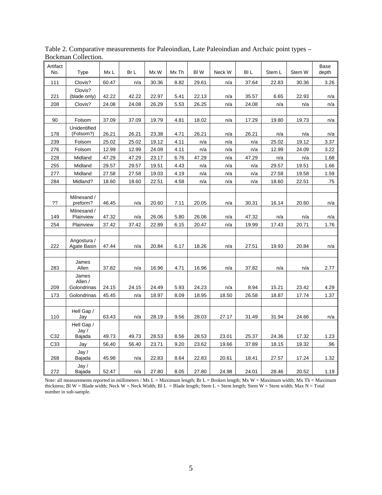| Artifact<br>No. | Type                        | Mx L  | Br L  | Mx W  | Mx Th | BI W  | Neck W | BI L  | Stem L | Stem W | Base<br>depth |
|-----------------|-----------------------------|-------|-------|-------|-------|-------|--------|-------|--------|--------|---------------|
| 111             | Clovis?                     | 60.47 | n/a   | 30.36 | 8.82  | 29.61 | n/a    | 37.64 | 22.83  | 30.36  | 3.26          |
| 221             | Clovis?<br>(blade only)     | 42.22 | 42.22 | 22.97 | 5.41  | 22.13 | n/a    | 35.57 | 6.65   | 22.93  | n/a           |
| 208             | Clovis?                     | 24.08 | 24.08 | 26.29 | 5.53  | 26.25 | n/a    | 24.08 | n/a    | n/a    | n/a           |
|                 |                             |       |       |       |       |       |        |       |        |        |               |
| 90              | Folsom                      | 37.09 | 37.09 | 19.79 | 4.81  | 18.02 | n/a    | 17.29 | 19.80  | 19.73  | n/a           |
| 178             | Unidentified<br>(Folsom?)   | 26.21 | 26.21 | 23.38 | 4.71  | 26.21 | n/a    | 26.21 | n/a    | n/a    | n/a           |
| 239             | Folsom                      | 25.02 | 25.02 | 19.12 | 4.11  | n/a   | n/a    | n/a   | 25.02  | 19.12  | 3.37          |
| 276             | Folsom                      | 12.99 | 12.99 | 24.09 | 4.11  | n/a   | n/a    | n/a   | 12.99  | 24.09  | 3.22          |
| 228             | Midland                     | 47.29 | 47.29 | 23.17 | 6.76  | 47.29 | n/a    | 47.29 | n/a    | n/a    | 1.68          |
| 255             | Midland                     | 29.57 | 29.57 | 19.51 | 4.43  | n/a   | n/a    | n/a   | 29.57  | 19.51  | 1.66          |
| 277             | Midland                     | 27.58 | 27.58 | 19.03 | 4.19  | n/a   | n/a    | n/a   | 27.58  | 19.58  | 1.59          |
| 284             | Midland?                    | 18.60 | 18.60 | 22.51 | 4.58  | n/a   | n/a    | n/a   | 18.60  | 22.51  | .75           |
|                 |                             |       |       |       |       |       |        |       |        |        |               |
| ??              | Milnesand /<br>preform?     | 46.45 | n/a   | 20.60 | 7.11  | 20.05 | n/a    | 30.31 | 16.14  | 20.60  | n/a           |
| 149             | Milnesand /<br>Plainview    | 47.32 | n/a   | 26.06 | 5.80  | 26.06 | n/a    | 47.32 | n/a    | n/a    | n/a           |
| 254             | Plainview                   | 37.42 | 37.42 | 22.89 | 6.15  | 20.47 | n/a    | 19.99 | 17.43  | 20.71  | 1.76          |
|                 |                             |       |       |       |       |       |        |       |        |        |               |
| 222             | Angostura /<br>Agate Basin  | 47.44 | n/a   | 20.84 | 6.17  | 18.26 | n/a    | 27.51 | 19.93  | 20.84  | n/a           |
|                 |                             |       |       |       |       |       |        |       |        |        |               |
| 283             | James<br>Allen              | 37.82 | n/a   | 16.96 | 4.71  | 16.96 | n/a    | 37.82 | n/a    | n/a    | 2.77          |
|                 | James<br>Allen /            |       |       |       |       |       |        |       |        |        |               |
| 209             | Golondrinas                 | 24.15 | 24.15 | 24.49 | 5.93  | 24.23 | n/a    | 8.94  | 15.21  | 23.42  | 4.29          |
| 173             | Golondrinas                 | 45.45 | n/a   | 18.97 | 8.09  | 18.95 | 18.50  | 26.58 | 18.87  | 17.74  | 1.37          |
|                 |                             |       |       |       |       |       |        |       |        |        |               |
| 110             | Hell Gap /<br>Jay           | 63.43 | n/a   | 28.19 | 9.56  | 28.03 | 27.17  | 31.49 | 31.94  | 24.66  | n/a           |
|                 | Hell Gap /<br>$\text{Jay}/$ |       |       |       |       |       |        |       |        |        |               |
| C32             | Bajada                      | 49.73 | 49.73 | 28.53 | 8.56  | 28.53 | 23.01  | 25.37 | 24.36  | 17.32  | 1.23          |
| C33             | Jay                         | 56.40 | 56.40 | 23.71 | 9.20  | 23.62 | 19.66  | 37.89 | 18.15  | 19.32  | .96           |
| 268             | Java /<br>Bajada            | 45.98 | n/a   | 22.83 | 8.64  | 22.83 | 20.61  | 18.41 | 27.57  | 17.24  | 1.32          |
| 272             | $\text{Jay }$<br>Bajada     | 52.47 | n/a   | 27.80 | 8.05  | 27.80 | 24.98  | 24.01 | 28.46  | 20.52  | 1.19          |

Table 2. Comparative measurements for Paleoindian, Late Paleoindian and Archaic point types – Bockman Collection.

Note: all measurements reported in millimeters / Mx L = Maximum length; Br L = Broken length; Mx W = Maximum width; Mx Th = Maximum thickness; Bl W = Blade width; Neck W = Neck Width; Bl L = Blade length; Stem L = Stem length; Stem W = Stem width; Max N = Total number in sub-sample.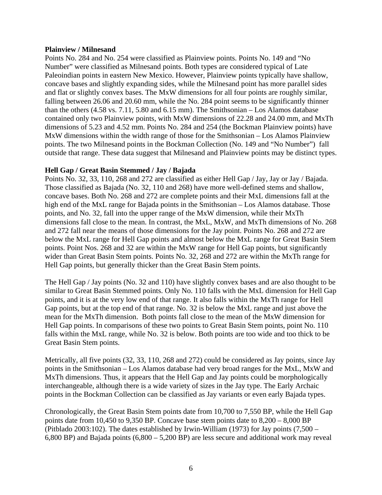#### **Plainview / Milnesand**

Points No. 284 and No. 254 were classified as Plainview points. Points No. 149 and "No Number" were classified as Milnesand points. Both types are considered typical of Late Paleoindian points in eastern New Mexico. However, Plainview points typically have shallow, concave bases and slightly expanding sides, while the Milnesand point has more parallel sides and flat or slightly convex bases. The MxW dimensions for all four points are roughly similar, falling between 26.06 and 20.60 mm, while the No. 284 point seems to be significantly thinner than the others (4.58 vs. 7.11, 5.80 and 6.15 mm). The Smithsonian – Los Alamos database contained only two Plainview points, with MxW dimensions of 22.28 and 24.00 mm, and MxTh dimensions of 5.23 and 4.52 mm. Points No. 284 and 254 (the Bockman Plainview points) have MxW dimensions within the width range of those for the Smithsonian – Los Alamos Plainview points. The two Milnesand points in the Bockman Collection (No. 149 and "No Number") fall outside that range. These data suggest that Milnesand and Plainview points may be distinct types.

#### **Hell Gap / Great Basin Stemmed / Jay / Bajada**

Points No. 32, 33, 110, 268 and 272 are classified as either Hell Gap / Jay, Jay or Jay / Bajada. Those classified as Bajada (No. 32, 110 and 268) have more well-defined stems and shallow, concave bases. Both No. 268 and 272 are complete points and their MxL dimensions fall at the high end of the MxL range for Bajada points in the Smithsonian – Los Alamos database. Those points, and No. 32, fall into the upper range of the MxW dimension, while their MxTh dimensions fall close to the mean. In contrast, the MxL, MxW, and MxTh dimensions of No. 268 and 272 fall near the means of those dimensions for the Jay point. Points No. 268 and 272 are below the MxL range for Hell Gap points and almost below the MxL range for Great Basin Stem points. Point Nos. 268 and 32 are within the MxW range for Hell Gap points, but significantly wider than Great Basin Stem points. Points No. 32, 268 and 272 are within the MxTh range for Hell Gap points, but generally thicker than the Great Basin Stem points.

The Hell Gap / Jay points (No. 32 and 110) have slightly convex bases and are also thought to be similar to Great Basin Stemmed points. Only No. 110 falls with the MxL dimension for Hell Gap points, and it is at the very low end of that range. It also falls within the MxTh range for Hell Gap points, but at the top end of that range. No. 32 is below the MxL range and just above the mean for the MxTh dimension. Both points fall close to the mean of the MxW dimension for Hell Gap points. In comparisons of these two points to Great Basin Stem points, point No. 110 falls within the MxL range, while No. 32 is below. Both points are too wide and too thick to be Great Basin Stem points.

Metrically, all five points (32, 33, 110, 268 and 272) could be considered as Jay points, since Jay points in the Smithsonian – Los Alamos database had very broad ranges for the MxL, MxW and MxTh dimensions. Thus, it appears that the Hell Gap and Jay points could be morphologically interchangeable, although there is a wide variety of sizes in the Jay type. The Early Archaic points in the Bockman Collection can be classified as Jay variants or even early Bajada types.

Chronologically, the Great Basin Stem points date from 10,700 to 7,550 BP, while the Hell Gap points date from 10,450 to 9,350 BP. Concave base stem points date to 8,200 – 8,000 BP (Pitblado 2003:102). The dates established by Irwin-William (1973) for Jay points (7,500 – 6,800 BP) and Bajada points (6,800 – 5,200 BP) are less secure and additional work may reveal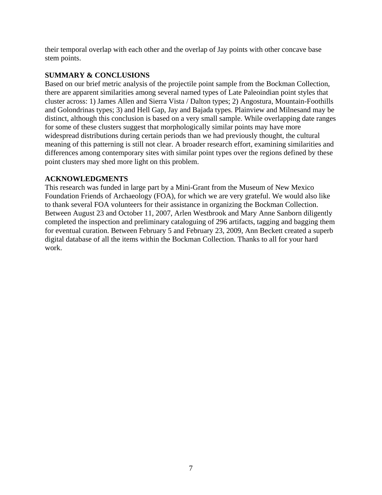their temporal overlap with each other and the overlap of Jay points with other concave base stem points.

## **SUMMARY & CONCLUSIONS**

Based on our brief metric analysis of the projectile point sample from the Bockman Collection, there are apparent similarities among several named types of Late Paleoindian point styles that cluster across: 1) James Allen and Sierra Vista / Dalton types; 2) Angostura, Mountain-Foothills and Golondrinas types; 3) and Hell Gap, Jay and Bajada types. Plainview and Milnesand may be distinct, although this conclusion is based on a very small sample. While overlapping date ranges for some of these clusters suggest that morphologically similar points may have more widespread distributions during certain periods than we had previously thought, the cultural meaning of this patterning is still not clear. A broader research effort, examining similarities and differences among contemporary sites with similar point types over the regions defined by these point clusters may shed more light on this problem.

## **ACKNOWLEDGMENTS**

This research was funded in large part by a Mini-Grant from the Museum of New Mexico Foundation Friends of Archaeology (FOA), for which we are very grateful. We would also like to thank several FOA volunteers for their assistance in organizing the Bockman Collection. Between August 23 and October 11, 2007, Arlen Westbrook and Mary Anne Sanborn diligently completed the inspection and preliminary cataloguing of 296 artifacts, tagging and bagging them for eventual curation. Between February 5 and February 23, 2009, Ann Beckett created a superb digital database of all the items within the Bockman Collection. Thanks to all for your hard work.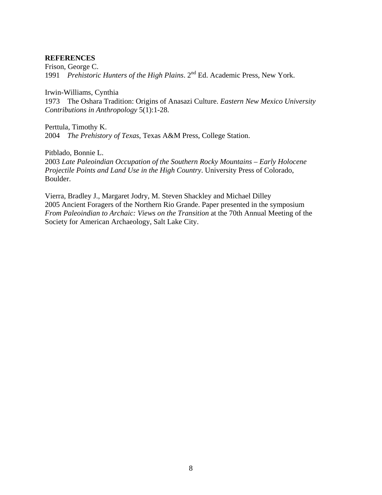#### **REFERENCES**

Frison, George C. 1991 *Prehistoric Hunters of the High Plains*. 2nd Ed. Academic Press, New York.

Irwin-Williams, Cynthia

1973 The Oshara Tradition: Origins of Anasazi Culture. *Eastern New Mexico University Contributions in Anthropology* 5(1):1-28.

Perttula, Timothy K. 2004 *The Prehistory of Texas*, Texas A&M Press, College Station.

Pitblado, Bonnie L.

2003 *Late Paleoindian Occupation of the Southern Rocky Mountains – Early Holocene Projectile Points and Land Use in the High Country*. University Press of Colorado, Boulder.

Vierra, Bradley J., Margaret Jodry, M. Steven Shackley and Michael Dilley 2005 Ancient Foragers of the Northern Rio Grande. Paper presented in the symposium *From Paleoindian to Archaic: Views on the Transition* at the 70th Annual Meeting of the Society for American Archaeology, Salt Lake City.